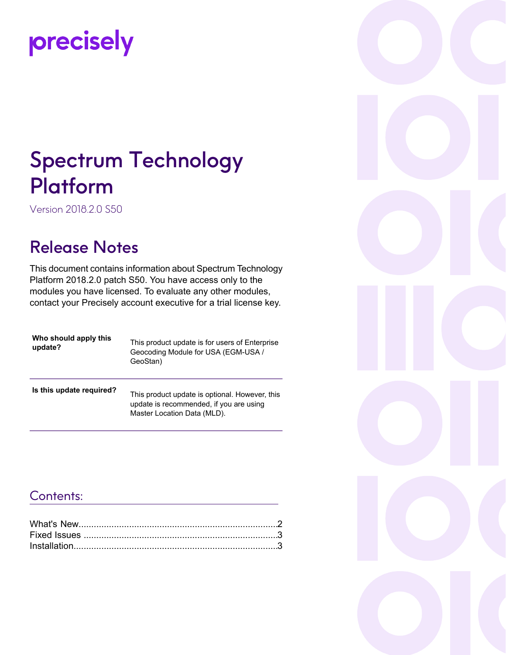# precisely

# Spectrum Technology Platform

Version 2018.2.0 S50

## Release Notes

This document contains information about Spectrum Technology Platform 2018.2.0 patch S50. You have access only to the modules you have licensed. To evaluate any other modules, contact your Precisely account executive for a trial license key.

| Who should apply this<br>update? | This product update is for users of Enterprise<br>Geocoding Module for USA (EGM-USA /<br>GeoStan)                        |
|----------------------------------|--------------------------------------------------------------------------------------------------------------------------|
| Is this update required?         | This product update is optional. However, this<br>update is recommended, if you are using<br>Master Location Data (MLD). |

### Contents:

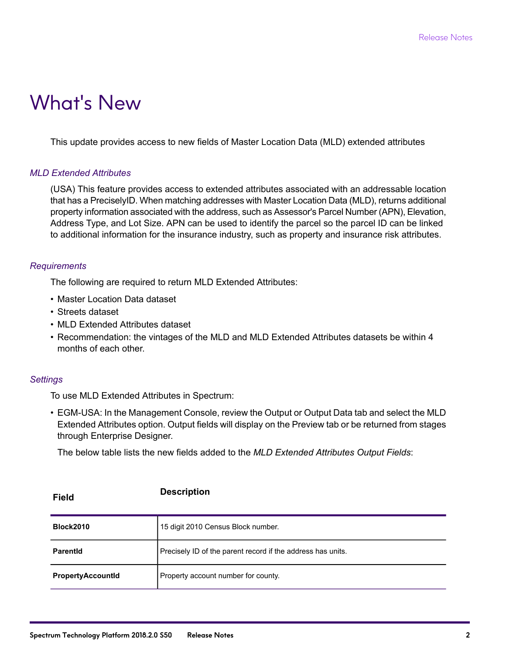# <span id="page-1-0"></span>What's New

This update provides access to new fields of Master Location Data (MLD) extended attributes

#### *MLD Extended Attributes*

(USA) This feature provides access to extended attributes associated with an addressable location that has a PreciselyID. When matching addresses with Master Location Data (MLD), returns additional property information associated with the address, such as Assessor's Parcel Number (APN), Elevation, Address Type, and Lot Size. APN can be used to identify the parcel so the parcel ID can be linked to additional information for the insurance industry, such as property and insurance risk attributes.

#### *Requirements*

The following are required to return MLD Extended Attributes:

- Master Location Data dataset
- Streets dataset
- MLD Extended Attributes dataset
- Recommendation: the vintages of the MLD and MLD Extended Attributes datasets be within 4 months of each other.

#### *Settings*

To use MLD Extended Attributes in Spectrum:

• EGM-USA: In the Management Console, review the Output or Output Data tab and select the MLD Extended Attributes option. Output fields will display on the Preview tab or be returned from stages through Enterprise Designer.

The below table lists the new fields added to the *MLD Extended Attributes Output Fields*:

| .                        |                                                             |
|--------------------------|-------------------------------------------------------------|
| <b>Block2010</b>         | 15 digit 2010 Census Block number.                          |
| <b>Parentid</b>          | Precisely ID of the parent record if the address has units. |
| <b>PropertyAccountId</b> | Property account number for county.                         |

#### **Description Field**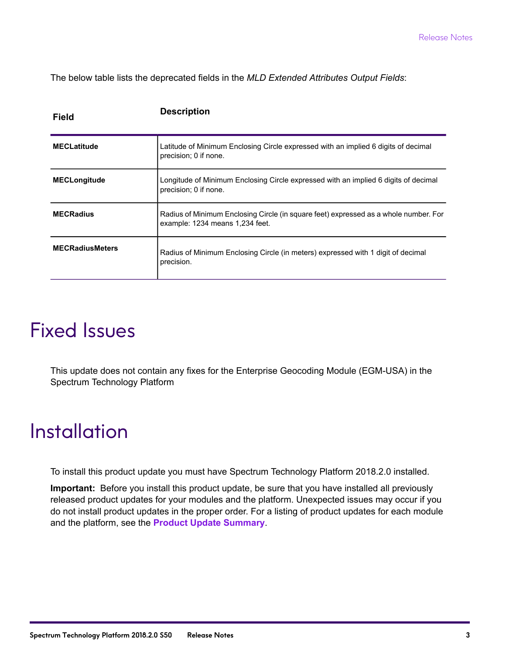The below table lists the deprecated fields in the *MLD Extended Attributes Output Fields*:

| <b>Field</b>           | <b>Description</b>                                                                                                      |
|------------------------|-------------------------------------------------------------------------------------------------------------------------|
| <b>MECLatitude</b>     | Latitude of Minimum Enclosing Circle expressed with an implied 6 digits of decimal<br>precision; 0 if none.             |
| <b>MECLongitude</b>    | Longitude of Minimum Enclosing Circle expressed with an implied 6 digits of decimal<br>precision; 0 if none.            |
| <b>MECRadius</b>       | Radius of Minimum Enclosing Circle (in square feet) expressed as a whole number. For<br>example: 1234 means 1,234 feet. |
| <b>MECRadiusMeters</b> | Radius of Minimum Enclosing Circle (in meters) expressed with 1 digit of decimal<br>precision.                          |

# <span id="page-2-0"></span>Fixed Issues

<span id="page-2-1"></span>This update does not contain any fixes for the Enterprise Geocoding Module (EGM-USA) in the Spectrum Technology Platform

## **Installation**

To install this product update you must have Spectrum Technology Platform 2018.2.0 installed.

**Important:** Before you install this product update, be sure that you have installed all previously released product updates for your modules and the platform. Unexpected issues may occur if you do not install product updates in the proper order. For a listing of product updates for each module and the platform, see the **Product Update [Summary](https://docs.precisely.com/docs/sftw/spectrum/ProductUpdateSummary/index.html)**.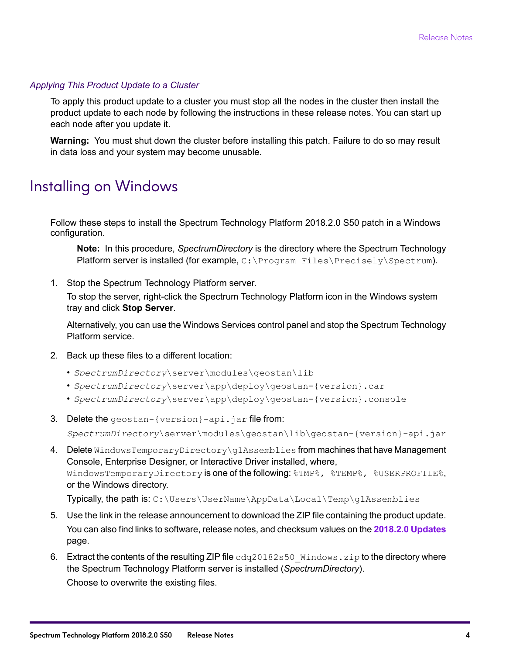#### *Applying This Product Update to a Cluster*

To apply this product update to a cluster you must stop all the nodes in the cluster then install the product update to each node by following the instructions in these release notes. You can start up each node after you update it.

**Warning:** You must shut down the cluster before installing this patch. Failure to do so may result in data loss and your system may become unusable.

### Installing on Windows

Follow these steps to install the Spectrum Technology Platform 2018.2.0 S50 patch in a Windows configuration.

**Note:** In this procedure, *SpectrumDirectory* is the directory where the Spectrum Technology Platform server is installed (for example, C:\Program Files\Precisely\Spectrum).

1. Stop the Spectrum Technology Platform server.

To stop the server, right-click the Spectrum Technology Platform icon in the Windows system tray and click **Stop Server**.

Alternatively, you can use the Windows Services control panel and stop the Spectrum Technology Platform service.

- 2. Back up these files to a different location:
	- *SpectrumDirectory*\server\modules\geostan\lib
	- *SpectrumDirectory*\server\app\deploy\geostan-{version}.car
	- *SpectrumDirectory*\server\app\deploy\geostan-{version}.console
- 3. Delete the geostan-{version}-api.jar file from:

*SpectrumDirectory*\server\modules\geostan\lib\geostan-{version}-api.jar

4. Delete WindowsTemporaryDirectory\g1Assemblies from machines that have Management Console, Enterprise Designer, or Interactive Driver installed, where, WindowsTemporaryDirectory is one of the following:  $\frac{1}{8}$ TMP%,  $\frac{1}{8}$ USERPROFILE%, or the Windows directory.

Typically, the path is: C:\Users\UserName\AppData\Local\Temp\g1Assemblies

- 5. Use the link in the release announcement to download the ZIP file containing the product update. You can also find links to software, release notes, and checksum values on the **2018.2.0 [Updates](https://docs.precisely.com/docs/sftw/spectrum/ProductUpdateSummary/index.html#ProductUpdateSummary/source/SummaryTable-2020.1.0.html)** page.
- 6. Extract the contents of the resulting ZIP file  $cdq20182s50$  Windows.zip to the directory where the Spectrum Technology Platform server is installed (*SpectrumDirectory*). Choose to overwrite the existing files.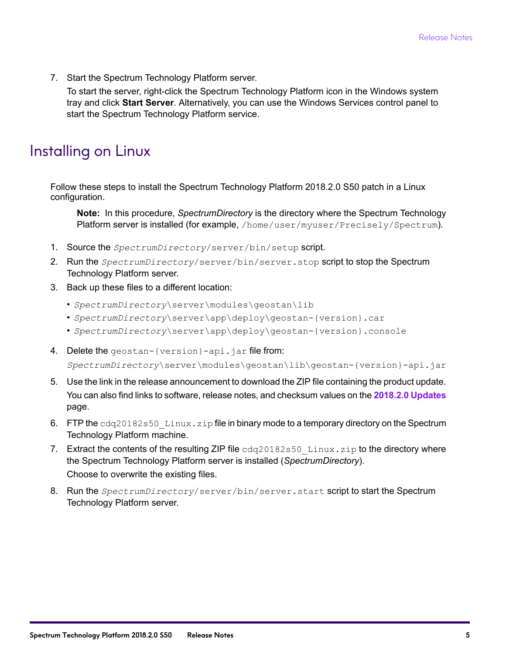7. Start the Spectrum Technology Platform server.

To start the server, right-click the Spectrum Technology Platform icon in the Windows system tray and click **Start Server**. Alternatively, you can use the Windows Services control panel to start the Spectrum Technology Platform service.

## Installing on Linux

Follow these steps to install the Spectrum Technology Platform 2018.2.0 S50 patch in a Linux configuration.

**Note:** In this procedure, *SpectrumDirectory* is the directory where the Spectrum Technology Platform server is installed (for example, /home/user/myuser/Precisely/Spectrum).

- 1. Source the *SpectrumDirectory*/server/bin/setup script.
- 2. Run the *SpectrumDirectory*/server/bin/server.stop script to stop the Spectrum Technology Platform server.
- 3. Back up these files to a different location:
	- *SpectrumDirectory*\server\modules\geostan\lib
	- *SpectrumDirectory*\server\app\deploy\geostan-{version}.car
	- *SpectrumDirectory*\server\app\deploy\geostan-{version}.console
- 4. Delete the geostan-{version}-api.jar file from: *SpectrumDirectory*\server\modules\geostan\lib\geostan-{version}-api.jar
- 5. Use the link in the release announcement to download the ZIP file containing the product update. You can also find links to software, release notes, and checksum values on the **2018.2.0 [Updates](https://docs.precisely.com/docs/sftw/spectrum/ProductUpdateSummary/index.html#ProductUpdateSummary/source/SummaryTable-2020.1.0.html)** page.
- 6. FTP the  $cdq20182s50$  Linux.zip file in binary mode to a temporary directory on the Spectrum Technology Platform machine.
- 7. Extract the contents of the resulting ZIP file  $cdq20182s50$  Linux. zip to the directory where the Spectrum Technology Platform server is installed (*SpectrumDirectory*). Choose to overwrite the existing files.
- 8. Run the *SpectrumDirectory*/server/bin/server.start script to start the Spectrum Technology Platform server.